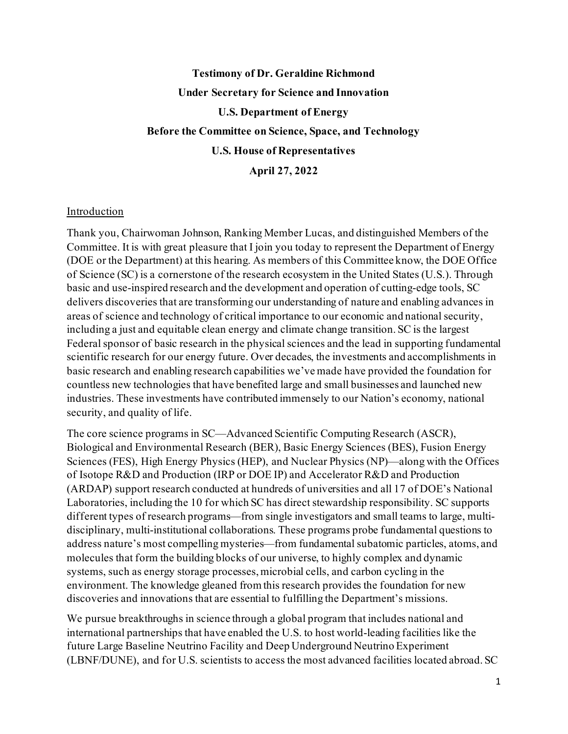# **Testimony of Dr. Geraldine Richmond Under Secretary for Science and Innovation U.S. Department of Energy Before the Committee on Science, Space, and Technology U.S. House of Representatives April 27, 2022**

#### Introduction

Thank you, Chairwoman Johnson, Ranking Member Lucas, and distinguished Members of the Committee. It is with great pleasure that I join you today to represent the Department of Energy (DOE or the Department) at this hearing. As members of this Committee know, the DOE Office of Science (SC) is a cornerstone of the research ecosystem in the United States (U.S.). Through basic and use-inspired research and the development and operation of cutting-edge tools, SC delivers discoveries that are transforming our understanding of nature and enabling advances in areas of science and technology of critical importance to our economic and national security, including a just and equitable clean energy and climate change transition. SC is the largest Federal sponsor of basic research in the physical sciences and the lead in supporting fundamental scientific research for our energy future. Over decades, the investments and accomplishments in basic research and enabling research capabilities we've made have provided the foundation for countless new technologies that have benefited large and small businesses and launched new industries. These investments have contributed immensely to our Nation's economy, national security, and quality of life.

The core science programs in SC—Advanced Scientific Computing Research (ASCR), Biological and Environmental Research (BER), Basic Energy Sciences (BES), Fusion Energy Sciences (FES), High Energy Physics (HEP), and Nuclear Physics (NP)—along with the Offices of Isotope R&D and Production (IRP or DOE IP) and Accelerator R&D and Production (ARDAP) support research conducted at hundreds of universities and all 17 of DOE's National Laboratories, including the 10 for which SC has direct stewardship responsibility. SC supports different types of research programs—from single investigators and small teams to large, multidisciplinary, multi-institutional collaborations. These programs probe fundamental questions to address nature's most compelling mysteries—from fundamental subatomic particles, atoms, and molecules that form the building blocks of our universe, to highly complex and dynamic systems, such as energy storage processes, microbial cells, and carbon cycling in the environment. The knowledge gleaned from this research provides the foundation for new discoveries and innovations that are essential to fulfilling the Department's missions.

We pursue breakthroughs in science through a global program that includes national and international partnerships that have enabled the U.S. to host world-leading facilities like the future Large Baseline Neutrino Facility and Deep Underground Neutrino Experiment (LBNF/DUNE), and for U.S. scientists to access the most advanced facilities located abroad. SC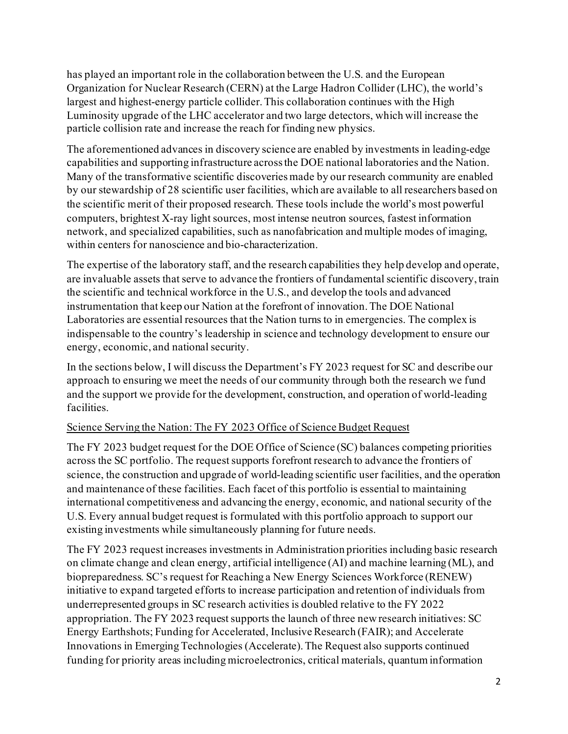has played an important role in the collaboration between the U.S. and the European Organization for Nuclear Research (CERN) at the Large Hadron Collider (LHC), the world's largest and highest-energy particle collider. This collaboration continues with the High Luminosity upgrade of the LHC accelerator and two large detectors, which will increase the particle collision rate and increase the reach for finding new physics.

The aforementioned advances in discovery science are enabled by investments in leading-edge capabilities and supporting infrastructure across the DOE national laboratories and the Nation. Many of the transformative scientific discoveries made by our research community are enabled by our stewardship of 28 scientific user facilities, which are available to all researchers based on the scientific merit of their proposed research. These tools include the world's most powerful computers, brightest X-ray light sources, most intense neutron sources, fastest information network, and specialized capabilities, such as nanofabrication and multiple modes of imaging, within centers for nanoscience and bio-characterization.

The expertise of the laboratory staff, and the research capabilities they help develop and operate, are invaluable assets that serve to advance the frontiers of fundamental scientific discovery, train the scientific and technical workforce in the U.S., and develop the tools and advanced instrumentation that keep our Nation at the forefront of innovation. The DOE National Laboratories are essential resources that the Nation turns to in emergencies. The complex is indispensable to the country's leadership in science and technology development to ensure our energy, economic, and national security.

In the sections below, I will discuss the Department's FY 2023 request for SC and describe our approach to ensuring we meet the needs of our community through both the research we fund and the support we provide for the development, construction, and operation of world-leading facilities.

#### Science Serving the Nation: The FY 2023 Office of Science Budget Request

The FY 2023 budget request for the DOE Office of Science (SC) balances competing priorities across the SC portfolio. The request supports forefront research to advance the frontiers of science, the construction and upgrade of world-leading scientific user facilities, and the operation and maintenance of these facilities. Each facet of this portfolio is essential to maintaining international competitiveness and advancing the energy, economic, and national security of the U.S. Every annual budget request is formulated with this portfolio approach to support our existing investments while simultaneously planning for future needs.

The FY 2023 request increases investments in Administration priorities including basic research on climate change and clean energy, artificial intelligence (AI) and machine learning (ML), and biopreparedness. SC's request for Reaching a New Energy Sciences Workforce (RENEW) initiative to expand targeted efforts to increase participation and retention of individuals from underrepresented groups in SC research activities is doubled relative to the FY 2022 appropriation. The FY 2023 request supports the launch of three new research initiatives: SC Energy Earthshots; Funding for Accelerated, Inclusive Research (FAIR); and Accelerate Innovations in Emerging Technologies (Accelerate). The Request also supports continued funding for priority areas including microelectronics, critical materials, quantum information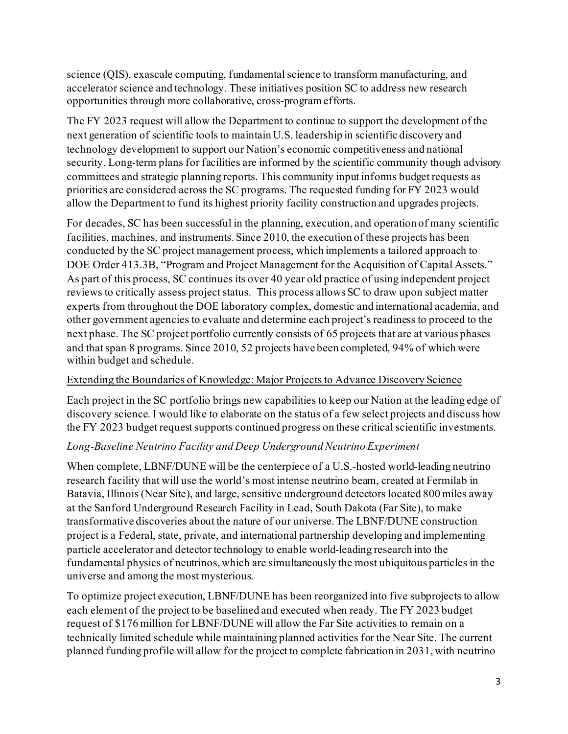science (QIS), exascale computing, fundamental science to transform manufacturing, and accelerator science and technology. These initiatives position SC to address new research opportunities through more collaborative, cross-program efforts.

The FY 2023 request will allow the Department to continue to support the development of the next generation of scientific tools to maintain U.S. leadership in scientific discovery and technology development to support our Nation's economic competitiveness and national security. Long-term plans for facilities are informed by the scientific community though advisory committees and strategic planning reports. This community input informs budget requests as priorities are considered across the SC programs. The requested funding for FY 2023 would allow the Department to fund its highest priority facility construction and upgrades projects.

For decades, SC has been successful in the planning, execution, and operation of many scientific facilities, machines, and instruments. Since 2010, the execution of these projects has been conducted by the SC project management process, which implements a tailored approach to DOE Order 413.3B, "Program and Project Management for the Acquisition of Capital Assets." As part of this process, SC continues its over 40 year old practice of using independent project reviews to critically assess project status. This process allows SC to draw upon subject matter experts from throughout the DOE laboratory complex, domestic and international academia, and other government agencies to evaluate and determine each project's readiness to proceed to the next phase. The SC project portfolio currently consists of 65 projects that are at various phases and that span 8 programs. Since 2010, 52 projects have been completed, 94% of which were within budget and schedule.

#### Extending the Boundaries of Knowledge: Major Projects to Advance Discovery Science

Each project in the SC portfolio brings new capabilities to keep our Nation at the leading edge of discovery science. I would like to elaborate on the status of a few select projects and discuss how the FY 2023 budget request supports continued progress on these critical scientific investments.

# *Long-Baseline Neutrino Facility and Deep Underground Neutrino Experiment*

When complete, LBNF/DUNE will be the centerpiece of a U.S.-hosted world-leading neutrino research facility that will use the world's most intense neutrino beam, created at Fermilab in Batavia, Illinois (Near Site), and large, sensitive underground detectors located 800 miles away at the Sanford Underground Research Facility in Lead, South Dakota (Far Site), to make transformative discoveries about the nature of our universe.The LBNF/DUNE construction project is a Federal, state, private, and international partnership developing and implementing particle accelerator and detector technology to enable world-leading research into the fundamental physics of neutrinos, which are simultaneously the most ubiquitous particles in the universe and among the most mysterious.

To optimize project execution, LBNF/DUNE has been reorganized into five subprojects to allow each element of the project to be baselined and executed when ready. The FY 2023 budget request of \$176 million for LBNF/DUNE will allow the Far Site activities to remain on a technically limited schedule while maintaining planned activities for the Near Site. The current planned funding profile will allow for the project to complete fabrication in 2031, with neutrino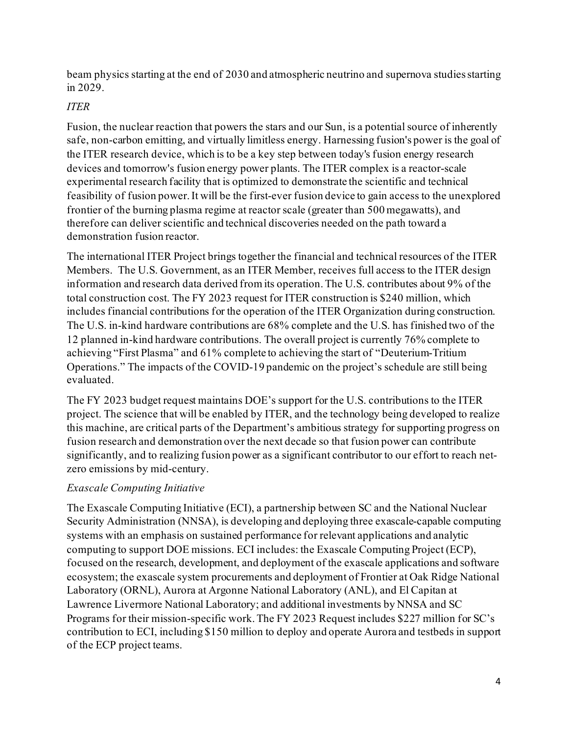beam physics starting at the end of 2030 and atmospheric neutrino and supernova studies starting in 2029.

# *ITER*

Fusion, the nuclear reaction that powers the stars and our Sun, is a potential source of inherently safe, non-carbon emitting, and virtually limitless energy. Harnessing fusion's power is the goal of the ITER research device, which is to be a key step between today's fusion energy research devices and tomorrow's fusion energy power plants. The ITER complex is a reactor-scale experimental research facility that is optimized to demonstrate the scientific and technical feasibility of fusion power. It will be the first-ever fusion device to gain access to the unexplored frontier of the burning plasma regime at reactor scale (greater than 500 megawatts), and therefore can deliver scientific and technical discoveries needed on the path toward a demonstration fusion reactor.

The international ITER Project brings together the financial and technical resources of the ITER Members. The U.S. Government, as an ITER Member, receives full access to the ITER design information and research data derived from its operation.The U.S. contributes about 9% of the total construction cost. The FY 2023 request for ITER construction is \$240 million, which includes financial contributions for the operation of the ITER Organization during construction. The U.S. in-kind hardware contributions are 68% complete and the U.S. has finished two of the 12 planned in-kind hardware contributions. The overall project is currently 76% complete to achieving "First Plasma" and 61% complete to achieving the start of "Deuterium-Tritium Operations." The impacts of the COVID-19 pandemic on the project's schedule are still being evaluated.

The FY 2023 budget request maintains DOE's support for the U.S. contributions to the ITER project. The science that will be enabled by ITER, and the technology being developed to realize this machine, are critical parts of the Department's ambitious strategy for supporting progress on fusion research and demonstration over the next decade so that fusion power can contribute significantly, and to realizing fusion power as a significant contributor to our effort to reach netzero emissions by mid-century.

# *Exascale Computing Initiative*

The Exascale Computing Initiative (ECI), a partnership between SC and the National Nuclear Security Administration (NNSA), is developing and deploying three exascale-capable computing systems with an emphasis on sustained performance for relevant applications and analytic computing to support DOE missions. ECI includes: the Exascale Computing Project (ECP), focused on the research, development, and deployment of the exascale applications and software ecosystem; the exascale system procurements and deployment of Frontier at Oak Ridge National Laboratory (ORNL), Aurora at Argonne National Laboratory (ANL), and El Capitan at Lawrence Livermore National Laboratory; and additional investments by NNSA and SC Programs for their mission-specific work. The FY 2023 Request includes \$227 million for SC's contribution to ECI, including \$150 million to deploy and operate Aurora and testbeds in support of the ECP project teams.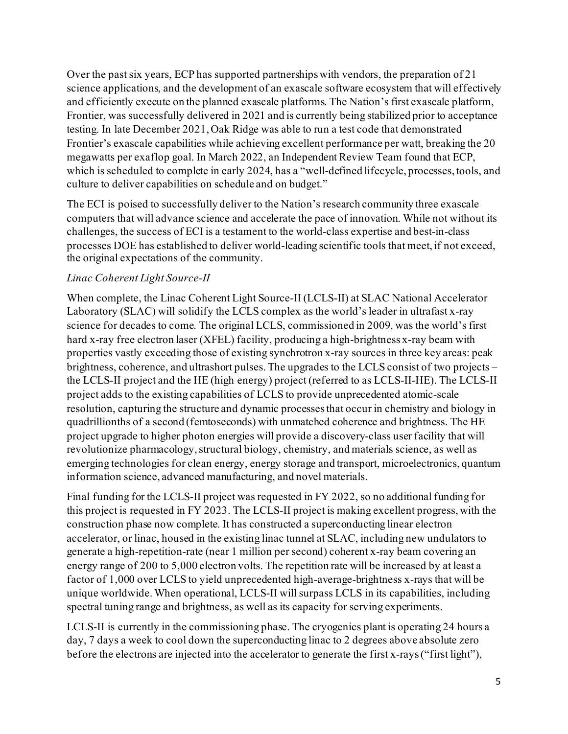Over the past six years, ECP has supported partnerships with vendors, the preparation of 21 science applications, and the development of an exascale software ecosystem that will effectively and efficiently execute on the planned exascale platforms. The Nation's first exascale platform, Frontier, was successfully delivered in 2021 and is currently being stabilized prior to acceptance testing. In late December 2021, Oak Ridge was able to run a test code that demonstrated Frontier's exascale capabilities while achieving excellent performance per watt, breaking the 20 megawatts per exaflop goal. In March 2022, an Independent Review Team found that ECP, which is scheduled to complete in early 2024, has a "well-defined lifecycle, processes, tools, and culture to deliver capabilities on schedule and on budget."

The ECI is poised to successfully deliver to the Nation's research community three exascale computers that will advance science and accelerate the pace of innovation. While not without its challenges, the success of ECI is a testament to the world-class expertise and best-in-class processes DOE has established to deliver world-leading scientific tools that meet, if not exceed, the original expectations of the community.

### *Linac Coherent Light Source-II*

When complete, the Linac Coherent Light Source-II (LCLS-II) at SLAC National Accelerator Laboratory (SLAC) will solidify the LCLS complex as the world's leader in ultrafast x-ray science for decades to come. The original LCLS, commissioned in 2009, was the world's first hard x-ray free electron laser (XFEL) facility, producing a high-brightness x-ray beam with properties vastly exceeding those of existing synchrotron x-ray sources in three key areas: peak brightness, coherence, and ultrashort pulses. The upgrades to the LCLS consist of two projects – the LCLS-II project and the HE (high energy) project (referred to as LCLS-II-HE). The LCLS-II project adds to the existing capabilities of LCLS to provide unprecedented atomic-scale resolution, capturing the structure and dynamic processes that occur in chemistry and biology in quadrillionths of a second (femtoseconds) with unmatched coherence and brightness. The HE project upgrade to higher photon energies will provide a discovery-class user facility that will revolutionize pharmacology, structural biology, chemistry, and materials science, as well as emerging technologies for clean energy, energy storage and transport, microelectronics, quantum information science, advanced manufacturing, and novel materials.

Final funding for the LCLS-II project was requested in FY 2022, so no additional funding for this project is requested in FY 2023. The LCLS-II project is making excellent progress, with the construction phase now complete. It has constructed a superconducting linear electron accelerator, or linac, housed in the existing linac tunnel at SLAC, including new undulators to generate a high-repetition-rate (near 1 million per second) coherent x-ray beam covering an energy range of 200 to 5,000 electron volts. The repetition rate will be increased by at least a factor of 1,000 over LCLS to yield unprecedented high-average-brightness x-rays that will be unique worldwide. When operational, LCLS-II will surpass LCLS in its capabilities, including spectral tuning range and brightness, as well as its capacity for serving experiments.

LCLS-II is currently in the commissioning phase. The cryogenics plant is operating 24 hours a day, 7 days a week to cool down the superconducting linac to 2 degrees above absolute zero before the electrons are injected into the accelerator to generate the first x-rays ("first light"),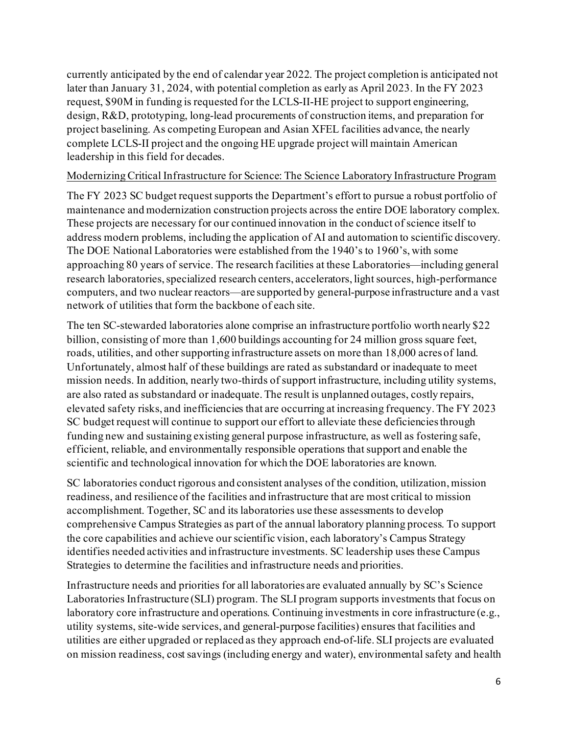currently anticipated by the end of calendar year 2022. The project completion is anticipated not later than January 31, 2024, with potential completion as early as April 2023. In the FY 2023 request, \$90M in funding is requested for the LCLS-II-HE project to support engineering, design, R&D, prototyping, long-lead procurements of construction items, and preparation for project baselining. As competing European and Asian XFEL facilities advance, the nearly complete LCLS-II project and the ongoing HE upgrade project will maintain American leadership in this field for decades.

#### Modernizing Critical Infrastructure for Science: The Science Laboratory Infrastructure Program

The FY 2023 SC budget request supports the Department's effort to pursue a robust portfolio of maintenance and modernization construction projects across the entire DOE laboratory complex. These projects are necessary for our continued innovation in the conduct of science itself to address modern problems, including the application of AI and automation to scientific discovery. The DOE National Laboratories were established from the 1940's to 1960's, with some approaching 80 years of service. The research facilities at these Laboratories—including general research laboratories, specialized research centers, accelerators, light sources, high-performance computers, and two nuclear reactors—are supported by general-purpose infrastructure and a vast network of utilities that form the backbone of each site.

The ten SC-stewarded laboratories alone comprise an infrastructure portfolio worth nearly \$22 billion, consisting of more than 1,600 buildings accounting for 24 million gross square feet, roads, utilities, and other supporting infrastructure assets on more than 18,000 acres of land. Unfortunately, almost half of these buildings are rated as substandard or inadequate to meet mission needs. In addition, nearly two-thirds of support infrastructure, including utility systems, are also rated as substandard or inadequate. The result is unplanned outages, costly repairs, elevated safety risks, and inefficiencies that are occurring at increasing frequency. The FY 2023 SC budget request will continue to support our effort to alleviate these deficiencies through funding new and sustaining existing general purpose infrastructure, as well as fostering safe, efficient, reliable, and environmentally responsible operations that support and enable the scientific and technological innovation for which the DOE laboratories are known.

SC laboratories conduct rigorous and consistent analyses of the condition, utilization, mission readiness, and resilience of the facilities and infrastructure that are most critical to mission accomplishment. Together, SC and its laboratories use these assessments to develop comprehensive Campus Strategies as part of the annual laboratory planning process. To support the core capabilities and achieve our scientific vision, each laboratory's Campus Strategy identifies needed activities and infrastructure investments. SC leadership uses these Campus Strategies to determine the facilities and infrastructure needs and priorities.

Infrastructure needs and priorities for all laboratories are evaluated annually by SC's Science Laboratories Infrastructure (SLI) program. The SLI program supports investments that focus on laboratory core infrastructure and operations. Continuing investments in core infrastructure (e.g., utility systems, site-wide services, and general-purpose facilities) ensures that facilities and utilities are either upgraded or replaced as they approach end-of-life. SLI projects are evaluated on mission readiness, cost savings (including energy and water), environmental safety and health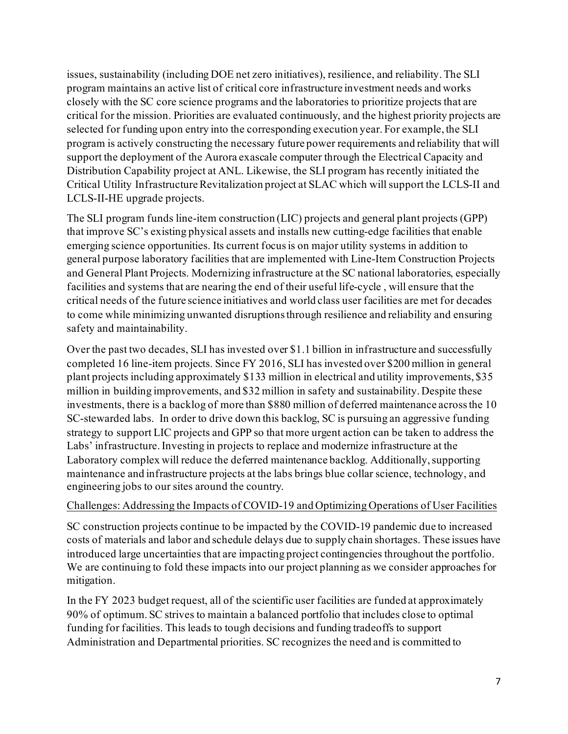issues, sustainability (including DOE net zero initiatives), resilience, and reliability.The SLI program maintains an active list of critical core infrastructure investment needs and works closely with the SC core science programs and the laboratories to prioritize projects that are critical for the mission. Priorities are evaluated continuously, and the highest priority projects are selected for funding upon entry into the corresponding execution year. For example, the SLI program is actively constructing the necessary future power requirements and reliability that will support the deployment of the Aurora exascale computer through the Electrical Capacity and Distribution Capability project at ANL. Likewise, the SLI program has recently initiated the Critical Utility Infrastructure Revitalization project at SLAC which willsupport the LCLS-II and LCLS-II-HE upgrade projects.

The SLI program funds line-item construction (LIC) projects and general plant projects (GPP) that improve SC's existing physical assets and installs new cutting-edge facilities that enable emerging science opportunities. Its current focus is on major utility systems in addition to general purpose laboratory facilities that are implemented with Line-Item Construction Projects and General Plant Projects. Modernizing infrastructure at the SC national laboratories, especially facilities and systems that are nearing the end of their useful life-cycle , will ensure that the critical needs of the future science initiatives and world class user facilities are met for decades to come while minimizing unwanted disruptions through resilience and reliability and ensuring safety and maintainability.

Over the past two decades, SLI has invested over \$1.1 billion in infrastructure and successfully completed 16 line-item projects. Since FY 2016, SLI has invested over \$200 million in general plant projects including approximately \$133 million in electrical and utility improvements, \$35 million in building improvements, and \$32 million in safety and sustainability. Despite these investments, there is a backlog of more than \$880 million of deferred maintenance across the 10 SC-stewarded labs. In order to drive down this backlog, SC is pursuing an aggressive funding strategy to support LIC projects and GPP so that more urgent action can be taken to address the Labs' infrastructure. Investing in projects to replace and modernize infrastructure at the Laboratory complex will reduce the deferred maintenance backlog. Additionally, supporting maintenance and infrastructure projects at the labs brings blue collar science, technology, and engineering jobs to our sites around the country.

#### Challenges: Addressing the Impacts of COVID-19 and Optimizing Operations of User Facilities

SC construction projects continue to be impacted by the COVID-19 pandemic due to increased costs of materials and labor and schedule delays due to supply chain shortages. These issues have introduced large uncertainties that are impacting project contingencies throughout the portfolio. We are continuing to fold these impacts into our project planning as we consider approaches for mitigation.

In the FY 2023 budget request, all of the scientific user facilities are funded at approximately 90% of optimum. SC strives to maintain a balanced portfolio that includes close to optimal funding for facilities. This leads to tough decisions and funding tradeoffs to support Administration and Departmental priorities. SC recognizes the need and is committed to